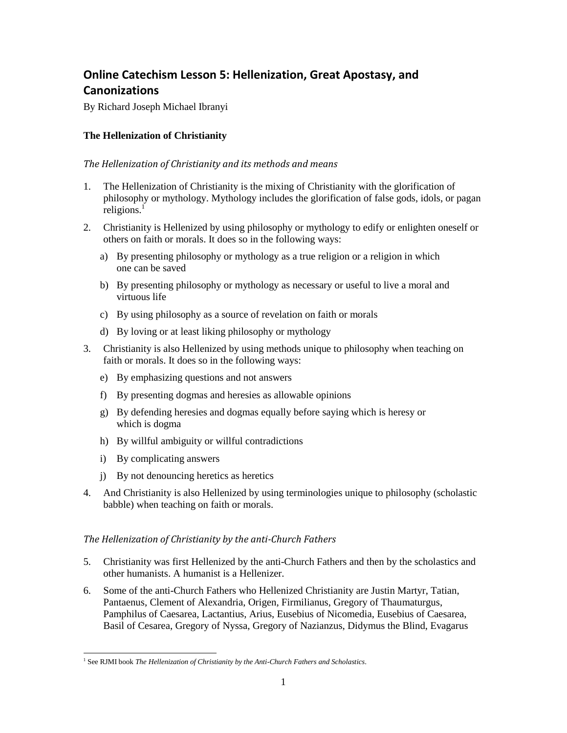# **Online Catechism Lesson 5: Hellenization, Great Apostasy, and Canonizations**

By Richard Joseph Michael Ibranyi

# **The Hellenization of Christianity**

## *The Hellenization of Christianity and its methods and means*

- 1. The Hellenization of Christianity is the mixing of Christianity with the glorification of philosophy or mythology. Mythology includes the glorification of false gods, idols, or pagan religions. $<sup>1</sup>$ </sup>
- 2. Christianity is Hellenized by using philosophy or mythology to edify or enlighten oneself or others on faith or morals. It does so in the following ways:
	- a) By presenting philosophy or mythology as a true religion or a religion in which one can be saved
	- b) By presenting philosophy or mythology as necessary or useful to live a moral and virtuous life
	- c) By using philosophy as a source of revelation on faith or morals
	- d) By loving or at least liking philosophy or mythology
- 3. Christianity is also Hellenized by using methods unique to philosophy when teaching on faith or morals. It does so in the following ways:
	- e) By emphasizing questions and not answers
	- f) By presenting dogmas and heresies as allowable opinions
	- g) By defending heresies and dogmas equally before saying which is heresy or which is dogma
	- h) By willful ambiguity or willful contradictions
	- i) By complicating answers
	- j) By not denouncing heretics as heretics
- 4. And Christianity is also Hellenized by using terminologies unique to philosophy (scholastic babble) when teaching on faith or morals.

# *The Hellenization of Christianity by the anti-Church Fathers*

- 5. Christianity was first Hellenized by the anti-Church Fathers and then by the scholastics and other humanists. A humanist is a Hellenizer.
- 6. Some of the anti-Church Fathers who Hellenized Christianity are Justin Martyr, Tatian, Pantaenus, Clement of Alexandria, Origen, Firmilianus, Gregory of Thaumaturgus, Pamphilus of Caesarea, Lactantius, Arius, Eusebius of Nicomedia, Eusebius of Caesarea, Basil of Cesarea, Gregory of Nyssa, Gregory of Nazianzus, Didymus the Blind, Evagarus

 $\overline{\phantom{a}}$ <sup>1</sup> See RJMI book *The Hellenization of Christianity by the Anti-Church Fathers and Scholastics.*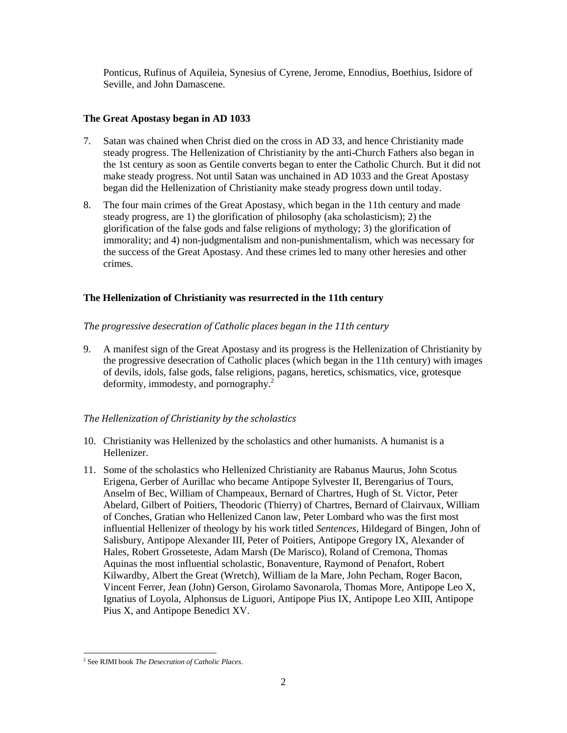Ponticus, Rufinus of Aquileia, Synesius of Cyrene, Jerome, Ennodius, Boethius, Isidore of Seville, and John Damascene.

## **The Great Apostasy began in AD 1033**

- 7. Satan was chained when Christ died on the cross in AD 33, and hence Christianity made steady progress. The Hellenization of Christianity by the anti-Church Fathers also began in the 1st century as soon as Gentile converts began to enter the Catholic Church. But it did not make steady progress. Not until Satan was unchained in AD 1033 and the Great Apostasy began did the Hellenization of Christianity make steady progress down until today.
- 8. The four main crimes of the Great Apostasy, which began in the 11th century and made steady progress, are 1) the glorification of philosophy (aka scholasticism); 2) the glorification of the false gods and false religions of mythology; 3) the glorification of immorality; and 4) non-judgmentalism and non-punishmentalism, which was necessary for the success of the Great Apostasy. And these crimes led to many other heresies and other crimes.

# **The Hellenization of Christianity was resurrected in the 11th century**

## *The progressive desecration of Catholic places began in the 11th century*

9. A manifest sign of the Great Apostasy and its progress is the Hellenization of Christianity by the progressive desecration of Catholic places (which began in the 11th century) with images of devils, idols, false gods, false religions, pagans, heretics, schismatics, vice, grotesque deformity, immodesty, and pornography.<sup>2</sup>

# *The Hellenization of Christianity by the scholastics*

- 10. Christianity was Hellenized by the scholastics and other humanists. A humanist is a Hellenizer.
- 11. Some of the scholastics who Hellenized Christianity are Rabanus Maurus, John Scotus Erigena, Gerber of Aurillac who became Antipope Sylvester II, Berengarius of Tours, Anselm of Bec, William of Champeaux, Bernard of Chartres, Hugh of St. Victor, Peter Abelard, Gilbert of Poitiers, Theodoric (Thierry) of Chartres, Bernard of Clairvaux, William of Conches, Gratian who Hellenized Canon law, Peter Lombard who was the first most influential Hellenizer of theology by his work titled *Sentences,* Hildegard of Bingen, John of Salisbury, Antipope Alexander III, Peter of Poitiers, Antipope Gregory IX, Alexander of Hales, Robert Grosseteste, Adam Marsh (De Marisco), Roland of Cremona, Thomas Aquinas the most influential scholastic, Bonaventure, Raymond of Penafort, Robert Kilwardby, Albert the Great (Wretch), William de la Mare, John Pecham, Roger Bacon, Vincent Ferrer, Jean (John) Gerson, Girolamo Savonarola, Thomas More, Antipope Leo X, Ignatius of Loyola, Alphonsus de Liguori, Antipope Pius IX, Antipope Leo XIII, Antipope Pius X, and Antipope Benedict XV.

 $\overline{\phantom{a}}$ 2 See RJMI book *The Desecration of Catholic Places*.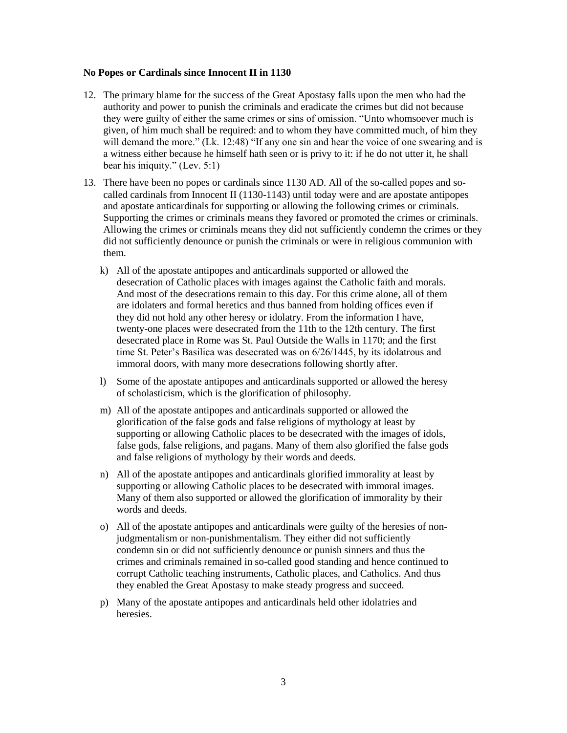### **No Popes or Cardinals since Innocent II in 1130**

- 12. The primary blame for the success of the Great Apostasy falls upon the men who had the authority and power to punish the criminals and eradicate the crimes but did not because they were guilty of either the same crimes or sins of omission. "Unto whomsoever much is given, of him much shall be required: and to whom they have committed much, of him they will demand the more." (Lk. 12:48) "If any one sin and hear the voice of one swearing and is a witness either because he himself hath seen or is privy to it: if he do not utter it, he shall bear his iniquity." (Lev. 5:1)
- 13. There have been no popes or cardinals since 1130 AD. All of the so-called popes and socalled cardinals from Innocent II (1130-1143) until today were and are apostate antipopes and apostate anticardinals for supporting or allowing the following crimes or criminals. Supporting the crimes or criminals means they favored or promoted the crimes or criminals. Allowing the crimes or criminals means they did not sufficiently condemn the crimes or they did not sufficiently denounce or punish the criminals or were in religious communion with them.
	- k) All of the apostate antipopes and anticardinals supported or allowed the desecration of Catholic places with images against the Catholic faith and morals. And most of the desecrations remain to this day. For this crime alone, all of them are idolaters and formal heretics and thus banned from holding offices even if they did not hold any other heresy or idolatry. From the information I have, twenty-one places were desecrated from the 11th to the 12th century. The first desecrated place in Rome was St. Paul Outside the Walls in 1170; and the first time St. Peter's Basilica was desecrated was on 6/26/1445, by its idolatrous and immoral doors, with many more desecrations following shortly after.
	- l) Some of the apostate antipopes and anticardinals supported or allowed the heresy of scholasticism, which is the glorification of philosophy.
	- m) All of the apostate antipopes and anticardinals supported or allowed the glorification of the false gods and false religions of mythology at least by supporting or allowing Catholic places to be desecrated with the images of idols, false gods, false religions, and pagans. Many of them also glorified the false gods and false religions of mythology by their words and deeds.
	- n) All of the apostate antipopes and anticardinals glorified immorality at least by supporting or allowing Catholic places to be desecrated with immoral images. Many of them also supported or allowed the glorification of immorality by their words and deeds.
	- o) All of the apostate antipopes and anticardinals were guilty of the heresies of nonjudgmentalism or non-punishmentalism. They either did not sufficiently condemn sin or did not sufficiently denounce or punish sinners and thus the crimes and criminals remained in so-called good standing and hence continued to corrupt Catholic teaching instruments, Catholic places, and Catholics. And thus they enabled the Great Apostasy to make steady progress and succeed.
	- p) Many of the apostate antipopes and anticardinals held other idolatries and heresies.